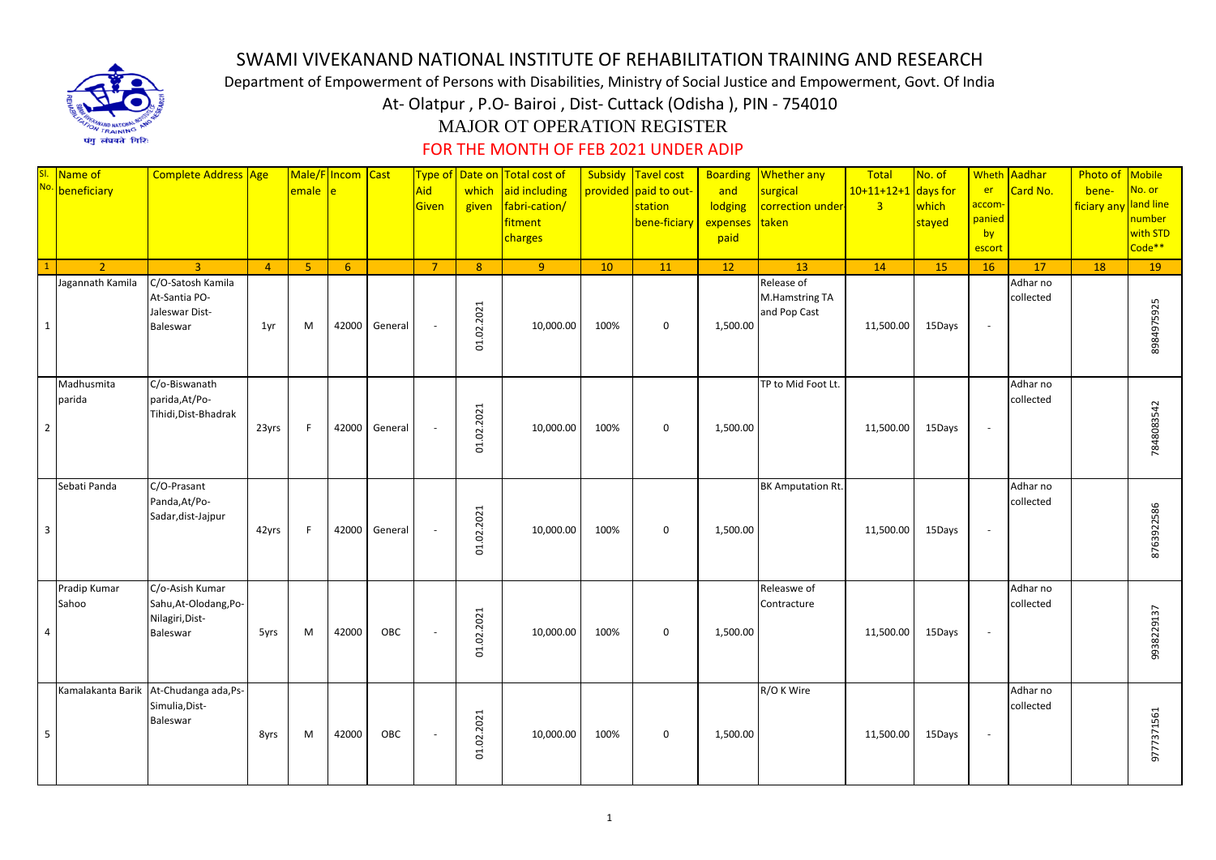

## SWAMI VIVEKANAND NATIONAL INSTITUTE OF REHABILITATION TRAINING AND RESEARCH

Department of Empowerment of Persons with Disabilities, Ministry of Social Justice and Empowerment, Govt. Of India

At- Olatpur , P.O- Bairoi , Dist- Cuttack (Odisha ), PIN - 754010

## MAJOR OT OPERATION REGISTER

## FOR THE MONTH OF FEB 2021 UNDER ADIP

|                | SI. Name of<br>No. beneficiary     | Complete Address Age                                                    |                | emale e | Male/F Incom Cast |               | Aid<br>Given   | which<br>given | Type of Date on Total cost of<br>aid including<br>fabri-cation/<br>fitment<br>charges |      | Subsidy Tavel cost<br>provided paid to out-<br>station<br>bene-ficiary | and<br>lodging<br>expenses<br>paid | <b>Boarding Whether any</b><br>surgical<br>correction under-<br>taken | Total<br>$10+11+12+1$<br>$\overline{3}$ | No. of<br>days for<br>which<br>stayed | er<br>accom-<br>panied<br>by<br>escort | Wheth Aadhar<br>Card No. | Photo of<br>bene-<br>ficiary any | Mobile<br>No. or<br>and line<br>number<br>with STD<br>Code** |
|----------------|------------------------------------|-------------------------------------------------------------------------|----------------|---------|-------------------|---------------|----------------|----------------|---------------------------------------------------------------------------------------|------|------------------------------------------------------------------------|------------------------------------|-----------------------------------------------------------------------|-----------------------------------------|---------------------------------------|----------------------------------------|--------------------------|----------------------------------|--------------------------------------------------------------|
|                | 2 <sup>1</sup><br>Jagannath Kamila | $\overline{3}$<br>C/O-Satosh Kamila                                     | $\overline{4}$ | -5      | 6                 |               | $\overline{7}$ | 8 <sup>°</sup> | 9 <sup>°</sup>                                                                        | 10   | 11                                                                     | 12                                 | 13<br>Release of                                                      | 14                                      | 15                                    | 16                                     | 17<br>Adhar no           | 18                               | 19                                                           |
| $\mathbf{1}$   |                                    | At-Santia PO-<br>Jaleswar Dist-<br>Baleswar                             | 1yr            | M       | 42000             | General       |                | 01.02.2021     | 10,000.00                                                                             | 100% | $\mathbf 0$                                                            | 1,500.00                           | M.Hamstring TA<br>and Pop Cast                                        | 11,500.00                               | 15Days                                | $\overline{\phantom{a}}$               | collected                |                                  | 8984975925                                                   |
| $\overline{2}$ | Madhusmita<br>parida               | C/o-Biswanath<br>parida, At/Po-<br>Tihidi, Dist-Bhadrak                 | 23yrs          | F       |                   | 42000 General |                | 01.02.2021     | 10,000.00                                                                             | 100% | $\mathbf 0$                                                            | 1,500.00                           | TP to Mid Foot Lt.                                                    | 11,500.00                               | 15Days                                | $\sim$                                 | Adhar no<br>collected    |                                  | 7848083542                                                   |
| $\overline{3}$ | Sebati Panda                       | C/O-Prasant<br>Panda, At/Po-<br>Sadar, dist-Jajpur                      | 42yrs          | E       | 42000             | General       |                | 01.02.2021     | 10,000.00                                                                             | 100% | $\mathbf 0$                                                            | 1,500.00                           | <b>BK Amputation Rt.</b>                                              | 11,500.00                               | 15Days                                | $\overline{\phantom{a}}$               | Adhar no<br>collected    |                                  | 8763922586                                                   |
| $\overline{4}$ | Pradip Kumar<br>Sahoo              | C/o-Asish Kumar<br>Sahu, At-Olodang, Po-<br>Nilagiri, Dist-<br>Baleswar | 5yrs           | M       | 42000             | OBC           |                | 01.02.2021     | 10,000.00                                                                             | 100% | $\mathbf 0$                                                            | 1,500.00                           | Releaswe of<br>Contracture                                            | 11,500.00                               | 15Days                                | $\sim$                                 | Adhar no<br>collected    |                                  | 9938229137                                                   |
| 5              | Kamalakanta Barik                  | At-Chudanga ada, Ps-<br>Simulia, Dist-<br>Baleswar                      | 8yrs           | M       | 42000             | OBC           | $\sim$         | 01.02.2021     | 10,000.00                                                                             | 100% | $\mathbf 0$                                                            | 1,500.00                           | R/O K Wire                                                            | 11,500.00                               | 15Days                                | $\sim$                                 | Adhar no<br>collected    |                                  | 9777371561                                                   |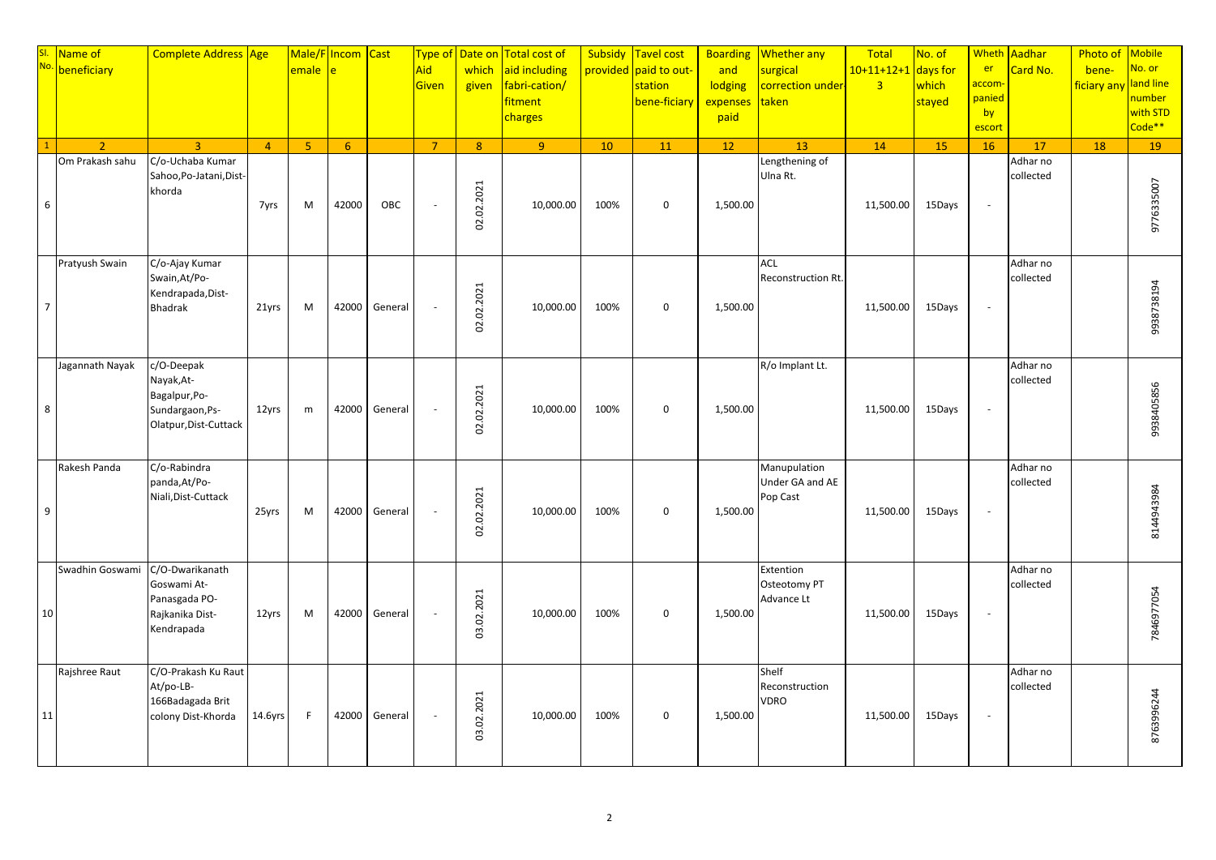|                | SI. Name of No. 1 | Complete Address Age                                                                  |                | emale          | Male/Flncom Cast<br>è |         | <b>Type of</b><br>Aid<br><b>Given</b> | Date on<br>which<br>given | <b>Total cost of</b><br>aid including<br>fabri-cation/<br>fitment<br>charges | Subsidy | <b>Tavel cost</b><br>provided paid to out-<br>station<br>bene-ficiary | <b>Boarding</b><br>and<br>lodging<br>expenses<br>paid | <b>Whether any</b><br>surgical<br>correction under-<br>taken | Total<br>$10+11+12+1$<br>$\overline{3}$ | No. of<br>days for<br>which<br>stayed | er<br><mark>accom</mark> ·<br>panied<br>by<br>escort | Wheth Aadhar<br>Card No. | Photo of<br>bene-<br>ficiary any | <b>Mobile</b><br><mark>No. or</mark><br>and line<br>number<br>with STD<br>Code** |
|----------------|-------------------|---------------------------------------------------------------------------------------|----------------|----------------|-----------------------|---------|---------------------------------------|---------------------------|------------------------------------------------------------------------------|---------|-----------------------------------------------------------------------|-------------------------------------------------------|--------------------------------------------------------------|-----------------------------------------|---------------------------------------|------------------------------------------------------|--------------------------|----------------------------------|----------------------------------------------------------------------------------|
|                | $\mathcal{L}$     | $\overline{3}$                                                                        | $\overline{4}$ | 5 <sup>°</sup> | 6 <sup>6</sup>        |         | $\overline{7}$                        | 8 <sup>°</sup>            | 9 <sup>°</sup>                                                               | 10      | 11                                                                    | 12                                                    | 13                                                           | 14                                      | 15                                    | 16                                                   | 17                       | 18                               | 19                                                                               |
| 6              | Om Prakash sahu   | C/o-Uchaba Kumar<br>Sahoo, Po-Jatani, Dist-<br>khorda                                 | 7yrs           | M              | 42000                 | OBC     | $\sim$                                | .02.2021<br>S.            | 10,000.00                                                                    | 100%    | $\mathbf 0$                                                           | 1,500.00                                              | Lengthening of<br>Ulna Rt.                                   | 11,500.00                               | 15Days                                | $\overline{\phantom{a}}$                             | Adhar no<br>collected    |                                  | 9776335007                                                                       |
| $\overline{7}$ | Pratyush Swain    | C/o-Ajay Kumar<br>Swain, At/Po-<br>Kendrapada, Dist-<br><b>Bhadrak</b>                | 21yrs          | M              | 42000                 | General |                                       | 02.02.2021                | 10,000.00                                                                    | 100%    | $\mathbf 0$                                                           | 1,500.00                                              | <b>ACL</b><br>Reconstruction Rt.                             | 11,500.00                               | 15Days                                | $\overline{\phantom{a}}$                             | Adhar no<br>collected    |                                  | 9938738194                                                                       |
| 8              | Jagannath Nayak   | c/O-Deepak<br>Nayak, At-<br>Bagalpur, Po-<br>Sundargaon, Ps-<br>Olatpur, Dist-Cuttack | 12yrs          | m              | 42000                 | General |                                       | .02.2021<br>2.            | 10,000.00                                                                    | 100%    | $\mathbf 0$                                                           | 1,500.00                                              | R/o Implant Lt.                                              | 11,500.00                               | 15Days                                | $\sim$                                               | Adhar no<br>collected    |                                  | 938405856                                                                        |
| 9              | Rakesh Panda      | C/o-Rabindra<br>panda, At/Po-<br>Niali, Dist-Cuttack                                  | 25yrs          | M              | 42000                 | General |                                       | 02.02.2021                | 10,000.00                                                                    | 100%    | $\mathbf 0$                                                           | 1,500.00                                              | Manupulation<br>Under GA and AE<br>Pop Cast                  | 11,500.00                               | 15Days                                | $\overline{\phantom{a}}$                             | Adhar no<br>collected    |                                  | 8144943984                                                                       |
| 10             | Swadhin Goswami   | C/O-Dwarikanath<br>Goswami At-<br>Panasgada PO-<br>Rajkanika Dist-<br>Kendrapada      | 12yrs          | M              | 42000                 | General |                                       | 02.2021<br>g.             | 10,000.00                                                                    | 100%    | $\mathbf 0$                                                           | 1,500.00                                              | Extention<br>Osteotomy PT<br>Advance Lt                      | 11,500.00                               | 15Days                                | $\overline{\phantom{a}}$                             | Adhar no<br>collected    |                                  | 7846977054                                                                       |
| 11             | Rajshree Raut     | C/O-Prakash Ku Raut<br>At/po-LB-<br>166Badagada Brit<br>colony Dist-Khorda            | 14.6yrs        | F              | 42000                 | General |                                       | .02.2021<br><u>со</u>     | 10,000.00                                                                    | 100%    | $\mathbf 0$                                                           | 1,500.00                                              | Shelf<br>Reconstruction<br>VDRO                              | 11,500.00                               | 15Days                                | $\sim$                                               | Adhar no<br>collected    |                                  | 8763996244                                                                       |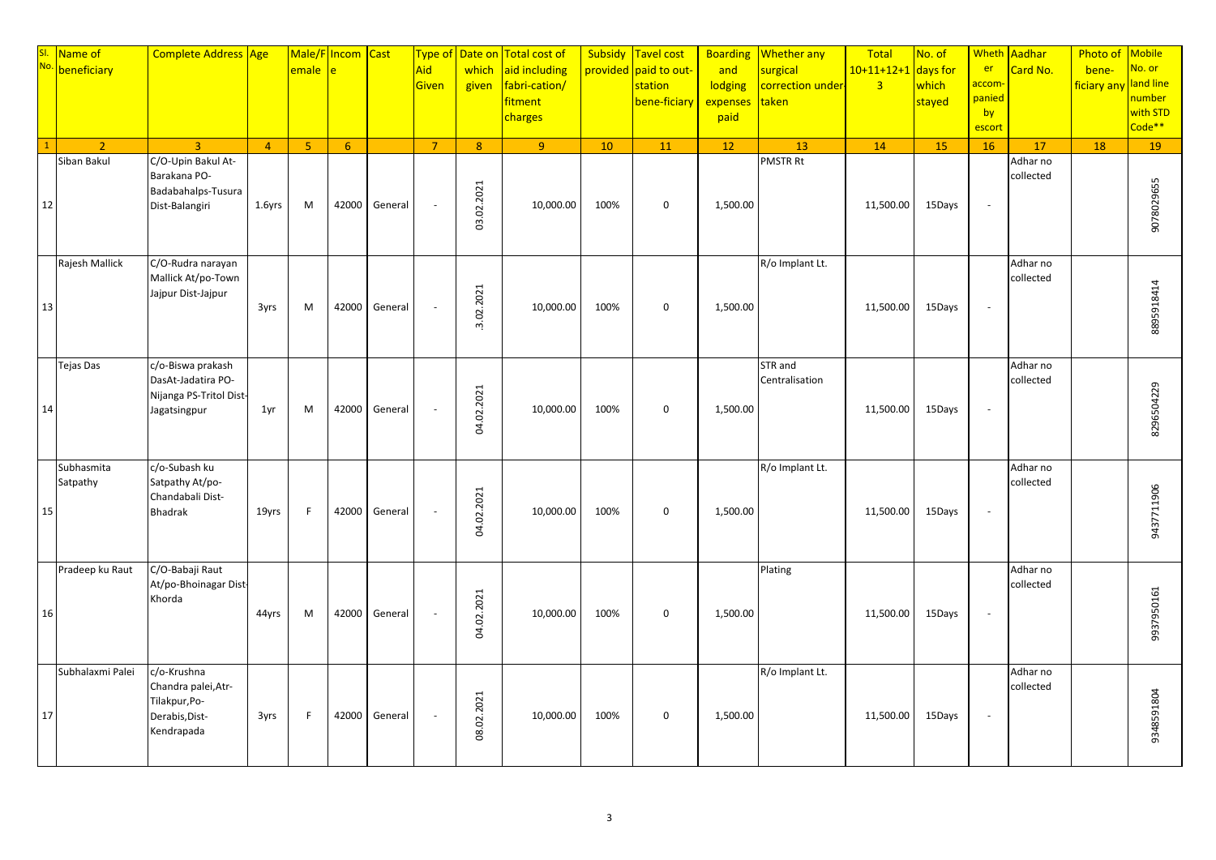|    | SI Name of<br>No. beneficiary | Complete Address Age                                                                |                | emale          | Male/F Incom Cast<br>Ā |         | Type of<br>Aid<br>Given | Date on<br>which<br>given | Total cost of<br>aid including<br>fabri-cation/<br>fitment<br>charges | Subsidy | Tavel cost<br>provided paid to out-<br>station<br>bene-ficiary | <b>Boarding</b><br>and<br>lodging<br>expenses<br>paid | <b>Whether any</b><br>surgical<br>correction under-<br>taken | Total<br>$10+11+12+1$<br>$\overline{3}$ | No. of<br>days for<br>which<br>stayed | <b>Wheth</b><br>er<br><mark>accom</mark><br>panied<br>by<br>escort | Aadhar<br>Card No.    | Photo of<br>bene-<br>ficiary any | <b>Mobile</b><br>No. or<br>land line<br>number<br>with STD<br>Code <sup>**</sup> |
|----|-------------------------------|-------------------------------------------------------------------------------------|----------------|----------------|------------------------|---------|-------------------------|---------------------------|-----------------------------------------------------------------------|---------|----------------------------------------------------------------|-------------------------------------------------------|--------------------------------------------------------------|-----------------------------------------|---------------------------------------|--------------------------------------------------------------------|-----------------------|----------------------------------|----------------------------------------------------------------------------------|
|    | $\overline{2}$                | $\overline{3}$                                                                      | $\overline{4}$ | 5 <sup>1</sup> | 6                      |         | $\overline{7}$          | 8 <sup>1</sup>            | 9                                                                     | 10      | 11                                                             | 12                                                    | 13                                                           | 14                                      | 15                                    | 16                                                                 | 17                    | 18                               | 19                                                                               |
| 12 | Siban Bakul                   | C/O-Upin Bakul At-<br>Barakana PO-<br>Badabahalps-Tusura<br>Dist-Balangiri          | 1.6yrs         | M              | 42000                  | General | $\sim$                  | .02.2021<br>g.            | 10,000.00                                                             | 100%    | $\mathbf 0$                                                    | 1,500.00                                              | <b>PMSTR Rt</b>                                              | 11,500.00                               | 15Days                                | $\omega$                                                           | Adhar no<br>collected |                                  | 9078029655                                                                       |
| 13 | Rajesh Mallick                | C/O-Rudra narayan<br>Mallick At/po-Town<br>Jajpur Dist-Jajpur                       | 3yrs           | M              | 42000                  | General |                         | .02.2021<br>$\omega$      | 10,000.00                                                             | 100%    | $\mathbf 0$                                                    | 1,500.00                                              | R/o Implant Lt.                                              | 11,500.00                               | 15Days                                | $\overline{\phantom{a}}$                                           | Adhar no<br>collected |                                  | 8895918414                                                                       |
| 14 | Tejas Das                     | c/o-Biswa prakash<br>DasAt-Jadatira PO-<br>Nijanga PS-Tritol Dist-<br>Jagatsingpur  | 1yr            | M              | 42000                  | General |                         | 04.02.2021                | 10,000.00                                                             | 100%    | $\mathbf 0$                                                    | 1,500.00                                              | STR and<br>Centralisation                                    | 11,500.00                               | 15Days                                | $\sim$                                                             | Adhar no<br>collected |                                  | 8296504229                                                                       |
| 15 | Subhasmita<br>Satpathy        | c/o-Subash ku<br>Satpathy At/po-<br>Chandabali Dist-<br><b>Bhadrak</b>              | 19yrs          | F              | 42000                  | General |                         | 04.02.2021                | 10,000.00                                                             | 100%    | $\mathbf 0$                                                    | 1,500.00                                              | R/o Implant Lt.                                              | 11,500.00                               | 15Days                                | $\overline{\phantom{a}}$                                           | Adhar no<br>collected |                                  | 9437711906                                                                       |
| 16 | Pradeep ku Raut               | C/O-Babaji Raut<br>At/po-Bhoinagar Dist-<br>Khorda                                  | 44yrs          | M              | 42000                  | General |                         | 04.02.2021                | 10,000.00                                                             | 100%    | $\mathbf 0$                                                    | 1,500.00                                              | Plating                                                      | 11,500.00                               | 15Days                                | $\overline{\phantom{a}}$                                           | Adhar no<br>collected |                                  | 9937950161                                                                       |
| 17 | Subhalaxmi Palei              | c/o-Krushna<br>Chandra palei, Atr-<br>Tilakpur, Po-<br>Derabis, Dist-<br>Kendrapada | 3yrs           | F              | 42000                  | General |                         | 08.02.2021                | 10,000.00                                                             | 100%    | $\mathbf 0$                                                    | 1,500.00                                              | R/o Implant Lt.                                              | 11,500.00                               | 15Days                                | $\overline{\phantom{a}}$                                           | Adhar no<br>collected |                                  | 9348591804                                                                       |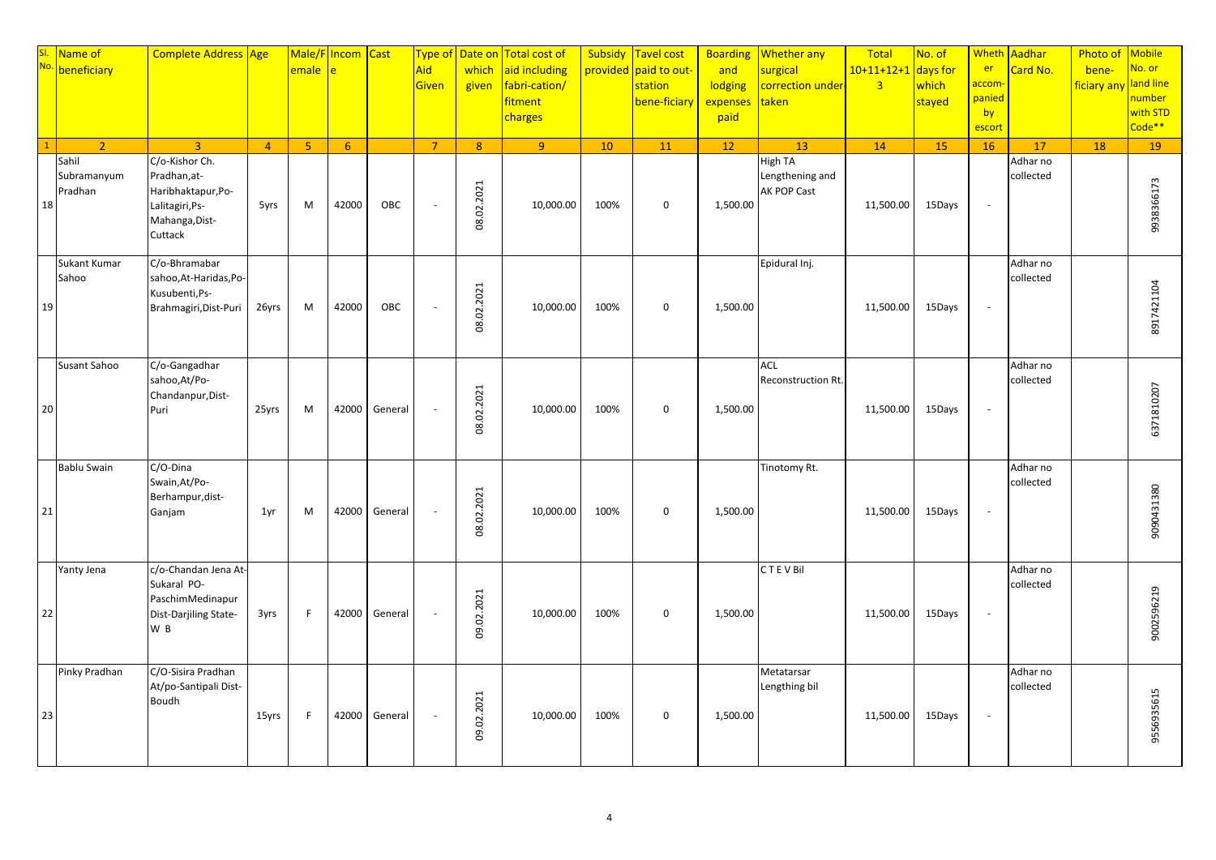| <mark>SI.</mark><br>No. | Name of<br>beneficiary          | Complete Address Age                                                                                 |                | Male/F<br>emale | Incom Cast<br>Ā |         | <b>Type of</b><br>Aid<br>Given | Date on<br>which<br>given | <b>Total cost of</b><br>aid including<br>fabri-cation/<br>fitment<br>charges | Subsidy | Tavel cost<br>provided paid to out-<br>station<br>bene-ficiary | <b>Boarding</b><br>and<br>lodging<br>expenses<br>paid | <b>Whether any</b><br>surgical<br>correction under-<br>taken | Total<br>$10+11+12+1$<br>$\overline{\mathbf{3}}$ | No. of<br>days for<br>which<br>stayed | er<br><mark>accom</mark> ·<br>panied<br>by<br>escort | Wheth Aadhar<br>Card No. | Photo of<br>bene-<br>ficiary any | <b>Mobile</b><br>No. or<br>land line<br>number<br>with STD<br>Code** |
|-------------------------|---------------------------------|------------------------------------------------------------------------------------------------------|----------------|-----------------|-----------------|---------|--------------------------------|---------------------------|------------------------------------------------------------------------------|---------|----------------------------------------------------------------|-------------------------------------------------------|--------------------------------------------------------------|--------------------------------------------------|---------------------------------------|------------------------------------------------------|--------------------------|----------------------------------|----------------------------------------------------------------------|
|                         | $\overline{2}$                  | $\overline{3}$                                                                                       | $\overline{4}$ | 5 <sup>°</sup>  | 6               |         | $\overline{7}$                 | 8 <sup>°</sup>            | $\overline{9}$                                                               | 10      | 11                                                             | 12                                                    | 13                                                           | 14                                               | 15                                    | 16                                                   | 17                       | 18                               | 19                                                                   |
| 18                      | Sahil<br>Subramanyum<br>Pradhan | C/o-Kishor Ch.<br>Pradhan, at-<br>Haribhaktapur, Po-<br>Lalitagiri, Ps-<br>Mahanga, Dist-<br>Cuttack | 5yrs           | M               | 42000           | OBC     | $\sim$                         | .02.2021<br>8             | 10,000.00                                                                    | 100%    | $\mathbf 0$                                                    | 1,500.00                                              | <b>High TA</b><br>Lengthening and<br><b>AK POP Cast</b>      | 11,500.00                                        | 15Days                                | $\overline{\phantom{a}}$                             | Adhar no<br>collected    |                                  | 9938366173                                                           |
| 19                      | Sukant Kumar<br>Sahoo           | C/o-Bhramabar<br>sahoo, At-Haridas, Po-<br>Kusubenti, Ps-<br>Brahmagiri, Dist-Puri                   | 26yrs          | M               | 42000           | OBC     |                                | 08.02.2021                | 10,000.00                                                                    | 100%    | $\mathbf 0$                                                    | 1,500.00                                              | Epidural Inj.                                                | 11,500.00                                        | 15Days                                | $\overline{\phantom{a}}$                             | Adhar no<br>collected    |                                  | 8917421104                                                           |
| 20                      | Susant Sahoo                    | C/o-Gangadhar<br>sahoo, At/Po-<br>Chandanpur, Dist-<br>Puri                                          | 25yrs          | M               | 42000           | General |                                | 08.02.2021                | 10,000.00                                                                    | 100%    | $\mathbf 0$                                                    | 1,500.00                                              | ACL<br>Reconstruction Rt.                                    | 11,500.00                                        | 15Days                                | $\overline{\phantom{a}}$                             | Adhar no<br>collected    |                                  | 6371810207                                                           |
| 21                      | <b>Bablu Swain</b>              | C/O-Dina<br>Swain, At/Po-<br>Berhampur, dist-<br>Ganjam                                              | 1yr            | M               | 42000           | General |                                | 08.02.2021                | 10,000.00                                                                    | 100%    | $\mathbf 0$                                                    | 1,500.00                                              | Tinotomy Rt.                                                 | 11,500.00                                        | 15Days                                | $\overline{\phantom{a}}$                             | Adhar no<br>collected    |                                  | 9090431380                                                           |
| 22                      | Yanty Jena                      | c/o-Chandan Jena At-<br>Sukaral PO-<br>PaschimMedinapur<br>Dist-Darjiling State-<br>W <sub>B</sub>   | 3yrs           | F.              | 42000           | General |                                | 02.2021<br>g              | 10,000.00                                                                    | 100%    | $\mathbf 0$                                                    | 1,500.00                                              | <b>CTEVBIL</b>                                               | 11,500.00                                        | 15Days                                | $\overline{\phantom{a}}$                             | Adhar no<br>collected    |                                  | 9002596219                                                           |
| 23                      | Pinky Pradhan                   | C/O-Sisira Pradhan<br>At/po-Santipali Dist-<br><b>Boudh</b>                                          | 15yrs          | F               | 42000           | General |                                | 09.02.2021                | 10,000.00                                                                    | 100%    | $\mathbf 0$                                                    | 1,500.00                                              | Metatarsar<br>Lengthing bil                                  | 11,500.00                                        | 15Days                                | $\overline{\phantom{a}}$                             | Adhar no<br>collected    |                                  | 9556935615                                                           |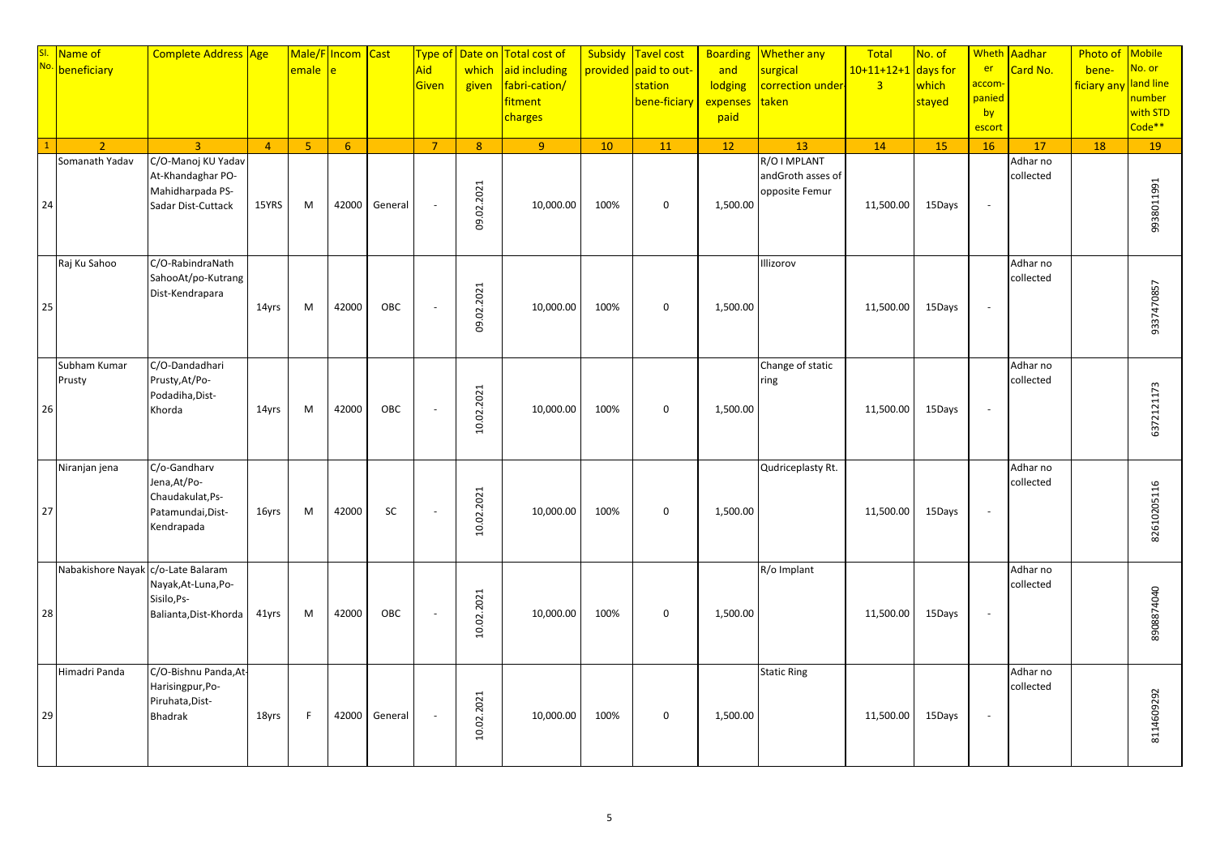|    | SI. Name of No. 1                  | Complete Address Age                                                                |                | emale          | Male/F Incom Cast<br>ė. |         | <b>Type of</b><br>Aid<br><b>Given</b> | Date on<br>which<br>given | <b>Total cost of</b><br>aid including<br>fabri-cation/<br>fitment<br>charges | Subsidy | Tavel cost<br>provided paid to out-<br>station<br>bene-ficiary | <b>Boarding</b><br>and<br>lodging<br>expenses<br>paid | <b>Whether any</b><br>surgical<br>correction under-<br>taken | Total<br>$10+11+12+1$<br>$\overline{\mathbf{3}}$ | No. of<br>days for<br>which<br>stayed | er<br><mark>accom</mark> ·<br>panied<br>by<br>escort | Wheth Aadhar<br>Card No. | Photo of<br>bene-<br>ficiary any | <b>Mobile</b><br>No. or<br>land line<br>number<br>with STD<br>Code** |
|----|------------------------------------|-------------------------------------------------------------------------------------|----------------|----------------|-------------------------|---------|---------------------------------------|---------------------------|------------------------------------------------------------------------------|---------|----------------------------------------------------------------|-------------------------------------------------------|--------------------------------------------------------------|--------------------------------------------------|---------------------------------------|------------------------------------------------------|--------------------------|----------------------------------|----------------------------------------------------------------------|
|    | $\overline{2}$                     | $\overline{3}$                                                                      | $\overline{4}$ | 5 <sup>1</sup> | 6                       |         | $\overline{7}$                        | 8 <sup>°</sup>            | $\overline{9}$                                                               | 10      | 11                                                             | 12                                                    | 13 <sup>°</sup>                                              | 14                                               | 15                                    | 16                                                   | 17                       | 18                               | 19                                                                   |
| 24 | Somanath Yadav                     | C/O-Manoj KU Yadav<br>At-Khandaghar PO-<br>Mahidharpada PS-<br>Sadar Dist-Cuttack   | 15YRS          | M              | 42000                   | General | $\sim$                                | .02.2021<br>g             | 10,000.00                                                                    | 100%    | $\mathbf 0$                                                    | 1,500.00                                              | R/O I MPLANT<br>andGroth asses of<br>opposite Femur          | 11,500.00                                        | 15Days                                | $\mathcal{L}_{\mathcal{A}}$                          | Adhar no<br>collected    |                                  | 9938011991                                                           |
| 25 | Raj Ku Sahoo                       | C/O-RabindraNath<br>SahooAt/po-Kutrang<br>Dist-Kendrapara                           | 14yrs          | M              | 42000                   | OBC     |                                       | 09.02.2021                | 10,000.00                                                                    | 100%    | $\mathbf 0$                                                    | 1,500.00                                              | Illizorov                                                    | 11,500.00                                        | 15Days                                | $\overline{\phantom{a}}$                             | Adhar no<br>collected    |                                  | 9337470857                                                           |
| 26 | Subham Kumar<br>Prusty             | C/O-Dandadhari<br>Prusty, At/Po-<br>Podadiha, Dist-<br>Khorda                       | 14yrs          | M              | 42000                   | OBC     |                                       | 10.02.2021                | 10,000.00                                                                    | 100%    | $\mathbf 0$                                                    | 1,500.00                                              | Change of static<br>ring                                     | 11,500.00                                        | 15Days                                | $\overline{\phantom{a}}$                             | Adhar no<br>collected    |                                  | 6372121173                                                           |
| 27 | Niranjan jena                      | C/o-Gandharv<br>Jena, At/Po-<br>Chaudakulat, Ps-<br>Patamundai, Dist-<br>Kendrapada | 16yrs          | M              | 42000                   | SC      |                                       | 10.02.2021                | 10,000.00                                                                    | 100%    | $\mathbf 0$                                                    | 1,500.00                                              | Qudriceplasty Rt.                                            | 11,500.00                                        | 15Days                                | $\overline{\phantom{a}}$                             | Adhar no<br>collected    |                                  | 82610205116                                                          |
| 28 | Nabakishore Nayak c/o-Late Balaram | Nayak, At-Luna, Po-<br>Sisilo, Ps-<br>Balianta, Dist-Khorda                         | 41yrs          | M              | 42000                   | OBC     |                                       | 10.02.2021                | 10,000.00                                                                    | 100%    | $\mathbf 0$                                                    | 1,500.00                                              | R/o Implant                                                  | 11,500.00                                        | 15Days                                | $\overline{\phantom{a}}$                             | Adhar no<br>collected    |                                  | 8908874040                                                           |
| 29 | Himadri Panda                      | C/O-Bishnu Panda, At-<br>Harisingpur, Po-<br>Piruhata, Dist-<br><b>Bhadrak</b>      | 18yrs          | F              | 42000                   | General |                                       | 10.02.2021                | 10,000.00                                                                    | 100%    | $\mathbf 0$                                                    | 1,500.00                                              | <b>Static Ring</b>                                           | 11,500.00                                        | 15Days                                | $\overline{\phantom{a}}$                             | Adhar no<br>collected    |                                  | 8114609292                                                           |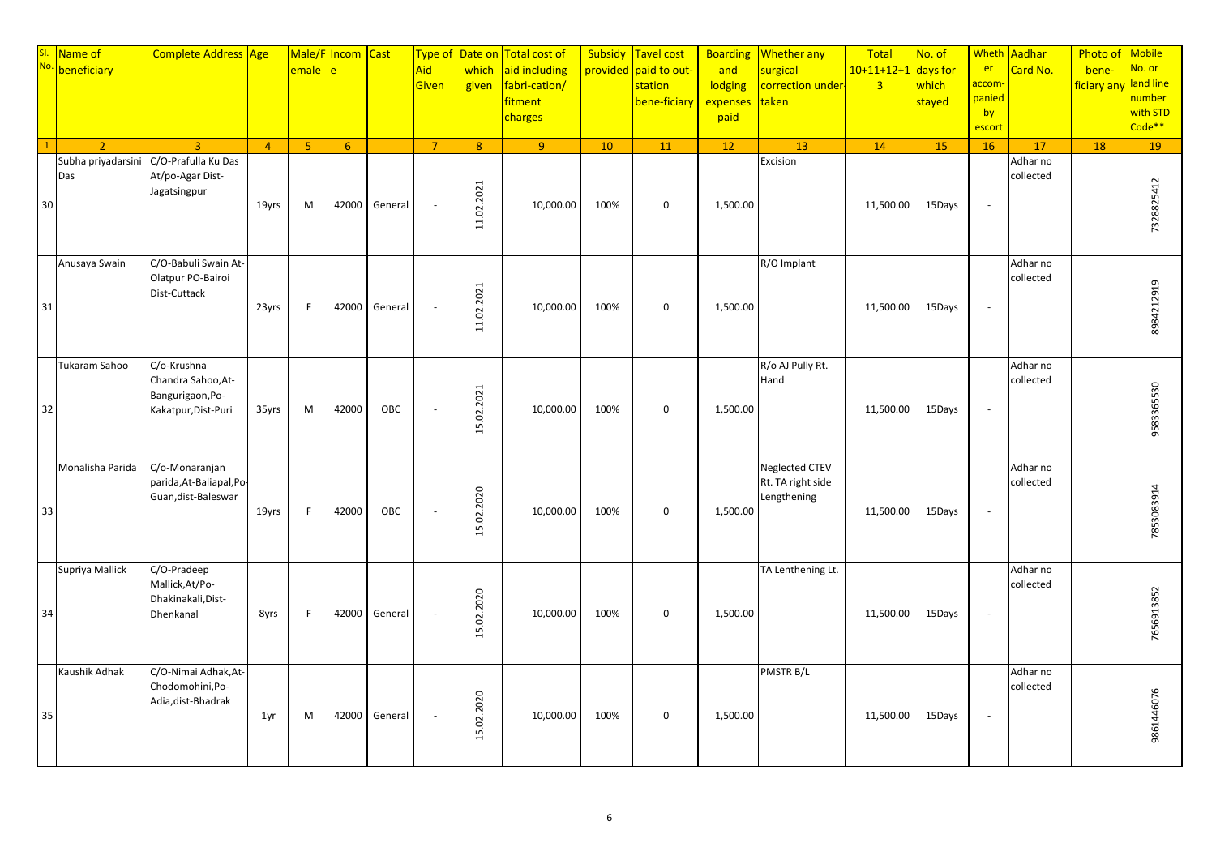|    | SI. Name of No. 1         | <b>Complete Address Age</b>                                                  |                | emale          | Male/F Incom Cast<br>è |         | Type of<br>Aid<br>Given  | Date on<br>which<br>given | <b>Total cost of</b><br>aid including<br>fabri-cation/<br><b>fitment</b><br>charges |      | Subsidy Tavel cost<br>provided paid to out-<br>station<br>bene-ficiary | <b>Boarding</b><br>and<br>lodging<br>expenses<br>paid | Whether any<br>surgical<br>correction under-<br>taken     | Total<br>$10+11+12+1$<br>$\overline{3}$ | No. of<br>days for<br>which<br>stayed | Wheth<br>er<br><mark>accom</mark><br>panied<br>by<br>escort | Aadhar<br>Card No.    | Photo of<br>bene-<br>ficiary any | <b>Mobile</b><br>No. or<br>land line<br>number<br>with STD<br>Code <sup>**</sup> |
|----|---------------------------|------------------------------------------------------------------------------|----------------|----------------|------------------------|---------|--------------------------|---------------------------|-------------------------------------------------------------------------------------|------|------------------------------------------------------------------------|-------------------------------------------------------|-----------------------------------------------------------|-----------------------------------------|---------------------------------------|-------------------------------------------------------------|-----------------------|----------------------------------|----------------------------------------------------------------------------------|
|    | $\mathcal{L}$             | $\overline{3}$                                                               | $\overline{4}$ | 5 <sub>o</sub> | 6                      |         | $\overline{7}$           | 8                         | 9 <sup>°</sup>                                                                      | 10   | 11                                                                     | 12                                                    | 13                                                        | 14                                      | 15                                    | 16                                                          | 17                    | 18                               | 19                                                                               |
| 30 | Subha priyadarsini<br>Das | C/O-Prafulla Ku Das<br>At/po-Agar Dist-<br>Jagatsingpur                      | 19yrs          | M              | 42000                  | General | $\overline{\phantom{a}}$ | 11.02.2021                | 10,000.00                                                                           | 100% | $\mathbf 0$                                                            | 1,500.00                                              | Excision                                                  | 11,500.00                               | 15Days                                | $\overline{\phantom{a}}$                                    | Adhar no<br>collected |                                  | 7328825412                                                                       |
| 31 | Anusaya Swain             | C/O-Babuli Swain At-<br>Olatpur PO-Bairoi<br>Dist-Cuttack                    | 23yrs          | F              | 42000                  | General |                          | 11.02.2021                | 10,000.00                                                                           | 100% | $\mathbf 0$                                                            | 1,500.00                                              | $R/O$ Implant                                             | 11,500.00                               | 15Days                                | $\overline{\phantom{a}}$                                    | Adhar no<br>collected |                                  | 8984212919                                                                       |
| 32 | Tukaram Sahoo             | C/o-Krushna<br>Chandra Sahoo, At-<br>Bangurigaon, Po-<br>Kakatpur, Dist-Puri | 35yrs          | M              | 42000                  | OBC     |                          | 15.02.2021                | 10,000.00                                                                           | 100% | $\mathbf 0$                                                            | 1,500.00                                              | R/o AJ Pully Rt.<br>Hand                                  | 11,500.00                               | 15Days                                | $\sim$                                                      | Adhar no<br>collected |                                  | 9583365530                                                                       |
| 33 | Monalisha Parida          | C/o-Monaranjan<br>parida, At-Baliapal, Po-<br>Guan, dist-Baleswar            | 19yrs          | F              | 42000                  | OBC     | ÷,                       | 15.02.2020                | 10,000.00                                                                           | 100% | $\mathbf 0$                                                            | 1,500.00                                              | <b>Neglected CTEV</b><br>Rt. TA right side<br>Lengthening | 11,500.00                               | 15Days                                | $\sim$                                                      | Adhar no<br>collected |                                  | 7853083914                                                                       |
| 34 | Supriya Mallick           | C/O-Pradeep<br>Mallick, At/Po-<br>Dhakinakali, Dist-<br>Dhenkanal            | 8yrs           | E              | 42000                  | General |                          | 02.2020<br>F.             | 10,000.00                                                                           | 100% | $\mathbf 0$                                                            | 1,500.00                                              | TA Lenthening Lt.                                         | 11,500.00                               | 15Days                                | $\sim$                                                      | Adhar no<br>collected |                                  | 7656913852                                                                       |
| 35 | Kaushik Adhak             | C/O-Nimai Adhak, At-<br>Chodomohini, Po-<br>Adia, dist-Bhadrak               | 1yr            | M              | 42000                  | General |                          | .02.2020<br>15.           | 10,000.00                                                                           | 100% | $\mathbf 0$                                                            | 1,500.00                                              | PMSTR B/L                                                 | 11,500.00                               | 15Days                                | $\sim$                                                      | Adhar no<br>collected |                                  | 9861446076                                                                       |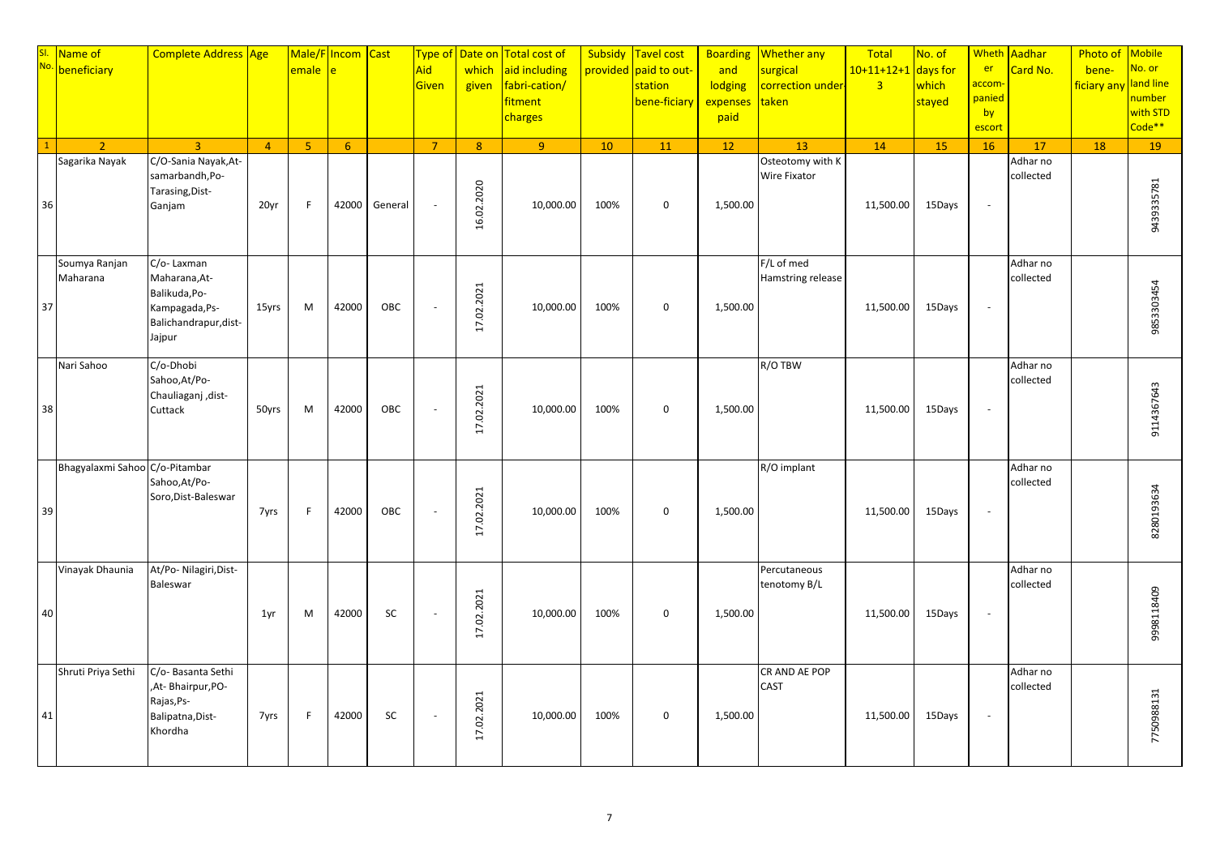|    | SI. Name of<br>No. beneficiary | Complete Address Age                                                                              |                | emale          | Male/F Incom Cast<br>è |         | <b>Type of</b><br>Aid<br><b>Given</b> | Date on<br>which<br>given | <b>Total cost of</b><br>aid including<br>fabri-cation/<br>fitment<br>charges | Subsidy | Tavel cost<br>provided paid to out-<br>station<br>bene-ficiary | <b>Boarding</b><br>and<br>lodging<br>expenses<br>paid | <b>Whether any</b><br>surgical<br>correction under-<br>taken | Total<br>$10+11+12+1$<br>$\overline{\mathbf{3}}$ | No. of<br>days for<br>which<br>stayed | er<br><mark>accom</mark> ·<br>panied<br>by<br>escort | Wheth Aadhar<br>Card No. | Photo of<br>bene-<br>ficiary any | <b>Mobile</b><br>No. or<br>land line<br>number<br>with STD<br>Code** |
|----|--------------------------------|---------------------------------------------------------------------------------------------------|----------------|----------------|------------------------|---------|---------------------------------------|---------------------------|------------------------------------------------------------------------------|---------|----------------------------------------------------------------|-------------------------------------------------------|--------------------------------------------------------------|--------------------------------------------------|---------------------------------------|------------------------------------------------------|--------------------------|----------------------------------|----------------------------------------------------------------------|
|    | $\overline{2}$                 | $\overline{3}$                                                                                    | $\overline{4}$ | 5 <sup>1</sup> | 6                      |         | $\overline{7}$                        | 8 <sup>°</sup>            | $\overline{9}$                                                               | 10      | 11                                                             | 12                                                    | 13                                                           | 14                                               | 15                                    | 16                                                   | 17                       | 18                               | 19                                                                   |
| 36 | Sagarika Nayak                 | C/O-Sania Nayak, At-<br>samarbandh, Po-<br>Tarasing, Dist-<br>Ganjam                              | 20yr           | F.             | 42000                  | General | $\sim$                                | 16.02.2020                | 10,000.00                                                                    | 100%    | $\mathbf 0$                                                    | 1,500.00                                              | Osteotomy with K<br>Wire Fixator                             | 11,500.00                                        | 15Days                                | $\mathcal{L}_{\mathcal{A}}$                          | Adhar no<br>collected    |                                  | 9439335781                                                           |
| 37 | Soumya Ranjan<br>Maharana      | C/o-Laxman<br>Maharana, At-<br>Balikuda, Po-<br>Kampagada, Ps-<br>Balichandrapur, dist-<br>Jajpur | 15yrs          | M              | 42000                  | OBC     |                                       | 17.02.2021                | 10,000.00                                                                    | 100%    | $\mathbf 0$                                                    | 1,500.00                                              | F/L of med<br>Hamstring release                              | 11,500.00                                        | 15Days                                | $\overline{\phantom{a}}$                             | Adhar no<br>collected    |                                  | 9853303454                                                           |
| 38 | Nari Sahoo                     | C/o-Dhobi<br>Sahoo, At/Po-<br>Chauliaganj ,dist-<br>Cuttack                                       | 50yrs          | M              | 42000                  | OBC     |                                       | 1.02.2021<br>E.           | 10,000.00                                                                    | 100%    | $\mathbf 0$                                                    | 1,500.00                                              | R/O TBW                                                      | 11,500.00                                        | 15Days                                | $\overline{\phantom{a}}$                             | Adhar no<br>collected    |                                  | 9114367643                                                           |
| 39 | Bhagyalaxmi Sahoo C/o-Pitambar | Sahoo, At/Po-<br>Soro, Dist-Baleswar                                                              | 7yrs           | F.             | 42000                  | OBC     | $\overline{\phantom{a}}$              | 17.02.2021                | 10,000.00                                                                    | 100%    | $\mathbf 0$                                                    | 1,500.00                                              | R/O implant                                                  | 11,500.00                                        | 15Days                                | $\overline{\phantom{a}}$                             | Adhar no<br>collected    |                                  | 8280193634                                                           |
| 40 | Vinayak Dhaunia                | At/Po- Nilagiri, Dist-<br>Baleswar                                                                | 1yr            | M              | 42000                  | SC      |                                       | .02.2021<br>Ë.            | 10,000.00                                                                    | 100%    | $\mathbf 0$                                                    | 1,500.00                                              | Percutaneous<br>tenotomy B/L                                 | 11,500.00                                        | 15Days                                | $\overline{\phantom{a}}$                             | Adhar no<br>collected    |                                  | 998118409                                                            |
| 41 | Shruti Priya Sethi             | C/o- Basanta Sethi<br>,At-Bhairpur,PO-<br>Rajas, Ps-<br>Balipatna, Dist-<br>Khordha               | 7yrs           | F              | 42000                  | SC      | $\sim$                                | 17.02.2021                | 10,000.00                                                                    | 100%    | $\mathbf 0$                                                    | 1,500.00                                              | CR AND AE POP<br><b>CAST</b>                                 | 11,500.00                                        | 15Days                                | $\overline{\phantom{a}}$                             | Adhar no<br>collected    |                                  | 7750988131                                                           |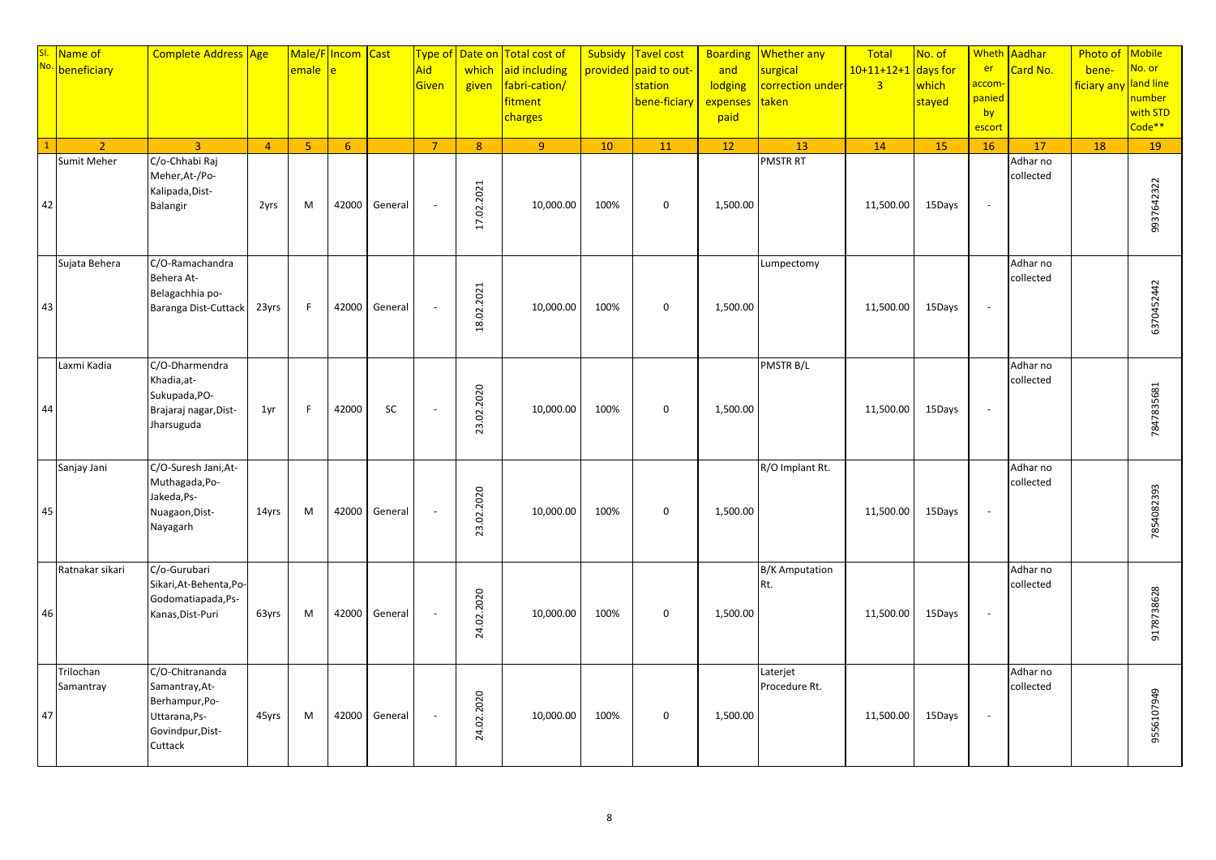|    | SI. Name of No. 1      | <b>Complete Address Age</b>                                                                         |                | emale          | Male/F Incom Cast<br>è |         | Type of<br>Aid<br>Given | Date on<br>which<br>given | <b>Total cost of</b><br>aid including<br>fabri-cation/<br><b>fitment</b><br>charges |      | Subsidy Tavel cost<br>provided paid to out-<br>station<br>bene-ficiary | <b>Boarding</b><br>and<br>lodging<br>expenses<br>paid | Whether any<br>surgical<br>correction under-<br>taken | Total<br>$10+11+12+1$<br>$\overline{3}$ | No. of<br>days for<br>which<br>stayed | <b>Wheth</b><br>er<br><mark>accom</mark><br>panied<br>by<br>escort | Aadhar<br>Card No.    | Photo of<br>bene-<br>ficiary any | <b>Mobile</b><br>No. or<br>land line<br><mark>number</mark><br>with STD<br>Code <sup>**</sup> |
|----|------------------------|-----------------------------------------------------------------------------------------------------|----------------|----------------|------------------------|---------|-------------------------|---------------------------|-------------------------------------------------------------------------------------|------|------------------------------------------------------------------------|-------------------------------------------------------|-------------------------------------------------------|-----------------------------------------|---------------------------------------|--------------------------------------------------------------------|-----------------------|----------------------------------|-----------------------------------------------------------------------------------------------|
|    | $\overline{2}$         | $\overline{3}$                                                                                      | $\overline{4}$ | 5 <sup>1</sup> | 6                      |         | $\overline{7}$          | 8 <sup>°</sup>            | $\overline{9}$                                                                      | 10   | 11                                                                     | 12                                                    | 13                                                    | 14                                      | 15                                    | 16                                                                 | 17                    | 18                               | 19                                                                                            |
| 42 | Sumit Meher            | C/o-Chhabi Raj<br>Meher, At-/Po-<br>Kalipada, Dist-<br>Balangir                                     | 2yrs           | M              | 42000                  | General | $\sim$                  | .02.2021<br>17.           | 10,000.00                                                                           | 100% | $\mathbf 0$                                                            | 1,500.00                                              | <b>PMSTR RT</b>                                       | 11,500.00                               | 15Days                                | $\omega$                                                           | Adhar no<br>collected |                                  | 9937642322                                                                                    |
| 43 | Sujata Behera          | C/O-Ramachandra<br>Behera At-<br>Belagachhia po-<br>Baranga Dist-Cuttack                            | 23yrs          | F              | 42000                  | General |                         | 18.02.2021                | 10,000.00                                                                           | 100% | $\mathbf 0$                                                            | 1,500.00                                              | Lumpectomy                                            | 11,500.00                               | 15Days                                | $\overline{\phantom{a}}$                                           | Adhar no<br>collected |                                  | 6370452442                                                                                    |
| 44 | Laxmi Kadia            | C/O-Dharmendra<br>Khadia, at-<br>Sukupada, PO-<br>Brajaraj nagar, Dist-<br>Jharsuguda               | 1yr            | F              | 42000                  | SC      |                         | 02.2020<br>23.            | 10,000.00                                                                           | 100% | $\mathbf 0$                                                            | 1,500.00                                              | PMSTR B/L                                             | 11,500.00                               | 15Days                                | $\sim$                                                             | Adhar no<br>collected |                                  | 7847835681                                                                                    |
| 45 | Sanjay Jani            | C/O-Suresh Jani, At-<br>Muthagada, Po-<br>Jakeda, Ps-<br>Nuagaon, Dist-<br>Nayagarh                 | 14yrs          | M              | 42000                  | General |                         | 02.2020<br>23.            | 10,000.00                                                                           | 100% | $\mathbf 0$                                                            | 1,500.00                                              | R/O Implant Rt.                                       | 11,500.00                               | 15Days                                | $\overline{\phantom{a}}$                                           | Adhar no<br>collected |                                  | 7854082393                                                                                    |
| 46 | Ratnakar sikari        | C/o-Gurubari<br>Sikari, At-Behenta, Po-<br>Godomatiapada, Ps-<br>Kanas, Dist-Puri                   | 63yrs          | M              | 42000                  | General |                         | 02.2020<br>24.            | 10,000.00                                                                           | 100% | $\mathbf 0$                                                            | 1,500.00                                              | <b>B/K Amputation</b><br>Rt.                          | 11,500.00                               | 15Days                                | $\sim$                                                             | Adhar no<br>collected |                                  | 9178738628                                                                                    |
| 47 | Trilochan<br>Samantray | C/O-Chitrananda<br>Samantray, At-<br>Berhampur, Po-<br>Uttarana, Ps-<br>Govindpur, Dist-<br>Cuttack | 45yrs          | M              | 42000                  | General |                         | 24.02.2020                | 10,000.00                                                                           | 100% | $\mathbf 0$                                                            | 1,500.00                                              | Laterjet<br>Procedure Rt.                             | 11,500.00                               | 15Days                                | $\sim$                                                             | Adhar no<br>collected |                                  | 9556107949                                                                                    |